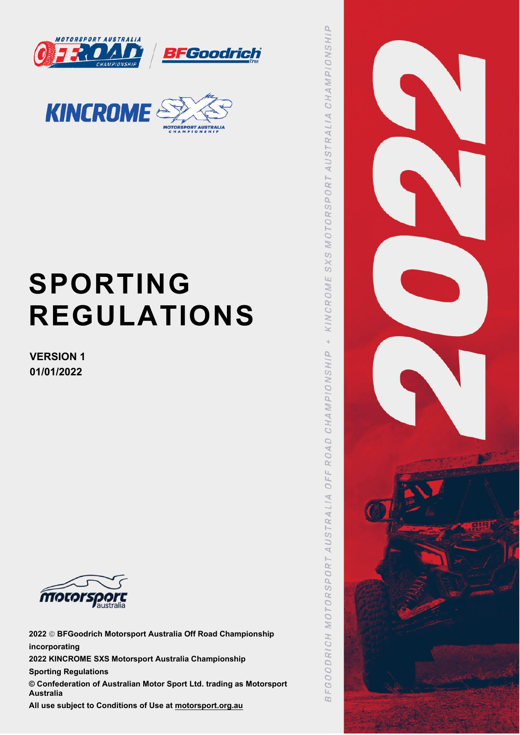



# **SPORTING REGULATIONS**

**VERSION 1 01/01/2022**



**2022 BFGoodrich Motorsport Australia Off Road Championship incorporating 2022 KINCROME SXS Motorsport Australia Championship Sporting Regulations © Confederation of Australian Motor Sport Ltd. trading as Motorsport Australia All use subject to Conditions of Use at [motorsport.org.au](http://www.motorsport.org.au/)**

 $\alpha$ **CHAMPIONSHI** AUSTRALIA SXS MOTORSPORT KINCROME  $\frac{1}{2}$ CHAMPIONSHIP ROAD  $OFF$ FGOODRICH MOTORSPORT AUSTRALIA  $\infty$ 

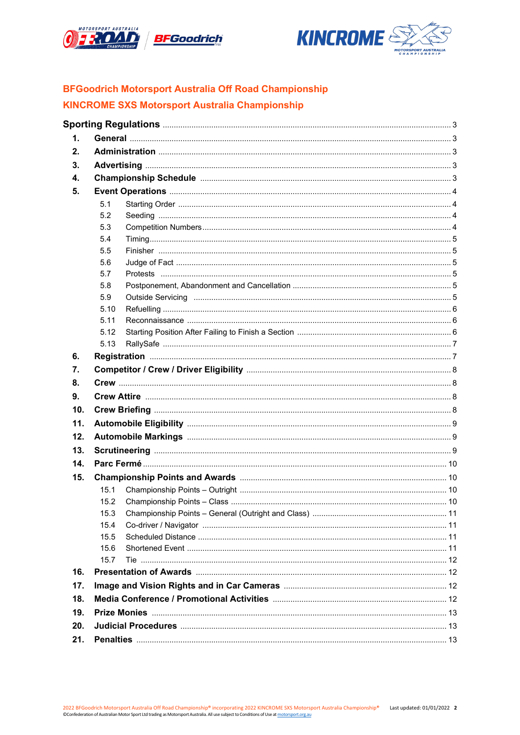



### **BFGoodrich Motorsport Australia Off Road Championship KINCROME SXS Motorsport Australia Championship**

| 1.  |      |  |
|-----|------|--|
| 2.  |      |  |
| 3.  |      |  |
| 4.  |      |  |
| 5.  |      |  |
|     | 5.1  |  |
|     | 5.2  |  |
|     | 5.3  |  |
|     | 5.4  |  |
|     | 5.5  |  |
|     | 5.6  |  |
|     | 5.7  |  |
|     | 5.8  |  |
|     | 5.9  |  |
|     | 5.10 |  |
|     | 5.11 |  |
|     | 5.12 |  |
|     | 5.13 |  |
| 6.  |      |  |
| 7.  |      |  |
| 8.  |      |  |
| 9.  |      |  |
| 10. |      |  |
| 11. |      |  |
| 12. |      |  |
| 13. |      |  |
| 14. |      |  |
| 15. |      |  |
|     | 15.1 |  |
|     | 15.2 |  |
|     | 15.3 |  |
|     | 15.4 |  |
|     | 15.5 |  |
|     | 15.6 |  |
|     | 15.7 |  |
| 16. |      |  |
| 17. |      |  |
| 18. |      |  |
| 19. |      |  |
| 20. |      |  |
| 21. |      |  |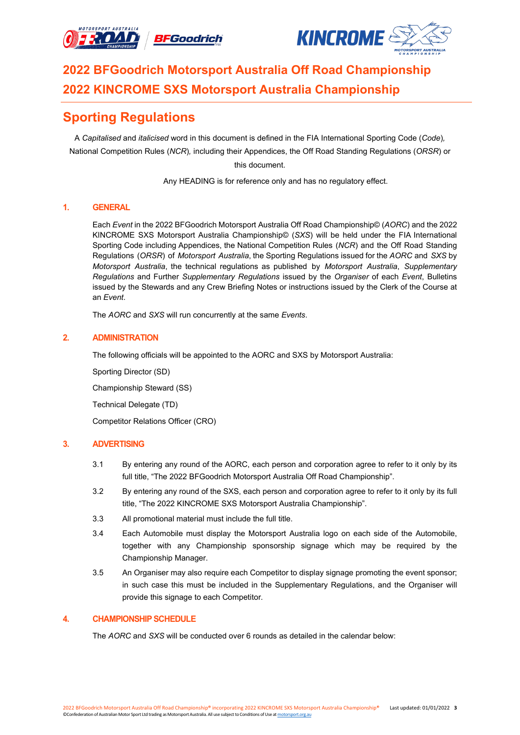



# **2022 BFGoodrich Motorsport Australia Off Road Championship 2022 KINCROME SXS Motorsport Australia Championship**

## **Sporting Regulations**

A *Capitalised* and *italicised* word in this document is defined in the FIA International Sporting Code (*Code*)*,* National Competition Rules (*NCR*)*,* including their Appendices, the Off Road Standing Regulations (*ORSR*) or this document.

Any HEADING is for reference only and has no regulatory effect.

#### **1. GENERAL**

Each *Event* in the 2022 BFGoodrich Motorsport Australia Off Road Championship© (*AORC*) and the 2022 KINCROME SXS Motorsport Australia Championship© (*SXS*) will be held under the FIA International Sporting Code including Appendices, the National Competition Rules (*NCR*) and the Off Road Standing Regulations (*ORSR*) of *Motorsport Australia*, the Sporting Regulations issued for the *AORC* and *SXS* by *Motorsport Australia*, the technical regulations as published by *Motorsport Australia*, *Supplementary Regulations* and Further *Supplementary Regulations* issued by the *Organiser* of each *Event*, Bulletins issued by the Stewards and any Crew Briefing Notes or instructions issued by the Clerk of the Course at an *Event*.

The *AORC* and *SXS* will run concurrently at the same *Events*.

#### **2. ADMINISTRATION**

The following officials will be appointed to the AORC and SXS by Motorsport Australia:

Sporting Director (SD)

Championship Steward (SS)

Technical Delegate (TD)

Competitor Relations Officer (CRO)

#### **3. ADVERTISING**

- 3.1 By entering any round of the AORC, each person and corporation agree to refer to it only by its full title, "The 2022 BFGoodrich Motorsport Australia Off Road Championship".
- 3.2 By entering any round of the SXS, each person and corporation agree to refer to it only by its full title, "The 2022 KINCROME SXS Motorsport Australia Championship".
- 3.3 All promotional material must include the full title.
- 3.4 Each Automobile must display the Motorsport Australia logo on each side of the Automobile, together with any Championship sponsorship signage which may be required by the Championship Manager.
- 3.5 An Organiser may also require each Competitor to display signage promoting the event sponsor; in such case this must be included in the Supplementary Regulations, and the Organiser will provide this signage to each Competitor.

#### **4. CHAMPIONSHIP SCHEDULE**

The *AORC* and *SXS* will be conducted over 6 rounds as detailed in the calendar below: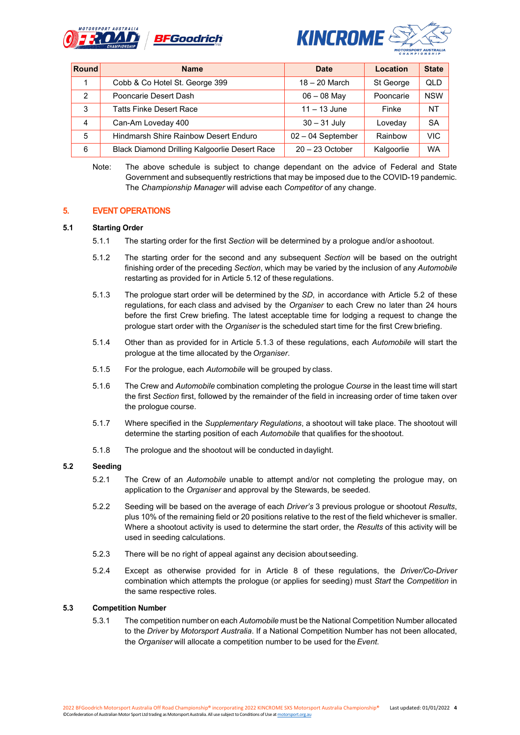



| Round          | <b>Name</b>                                   | <b>Date</b>         | Location   | <b>State</b> |
|----------------|-----------------------------------------------|---------------------|------------|--------------|
|                | Cobb & Co Hotel St. George 399                | $18 - 20$ March     | St George  | QLD          |
| $\mathcal{P}$  | Pooncarie Desert Dash                         | $06 - 08$ May       | Pooncarie  | <b>NSW</b>   |
| 3              | <b>Tatts Finke Desert Race</b>                | $11 - 13$ June      | Finke      | <b>NT</b>    |
| $\overline{4}$ | Can-Am Loveday 400                            | $30 - 31$ July      | Lovedav    | <b>SA</b>    |
| 5              | Hindmarsh Shire Rainbow Desert Enduro         | $02 - 04$ September | Rainbow    | <b>VIC</b>   |
| 6              | Black Diamond Drilling Kalgoorlie Desert Race | $20 - 23$ October   | Kalgoorlie | <b>WA</b>    |

Note: The above schedule is subject to change dependant on the advice of Federal and State Government and subsequently restrictions that may be imposed due to the COVID-19 pandemic. The *Championship Manager* will advise each *Competitor* of any change.

#### **5. EVENT OPERATIONS**

#### **5.1 Starting Order**

- 5.1.1 The starting order for the first *Section* will be determined by a prologue and/or ashootout.
- 5.1.2 The starting order for the second and any subsequent *Section* will be based on the outright finishing order of the preceding *Section*, which may be varied by the inclusion of any *Automobile* restarting as provided for in Article 5.12 of these regulations.
- 5.1.3 The prologue start order will be determined by the *SD*, in accordance with Article 5.2 of these regulations, for each class and advised by the *Organiser* to each Crew no later than 24 hours before the first Crew briefing. The latest acceptable time for lodging a request to change the prologue start order with the *Organiser* is the scheduled start time for the first Crew briefing.
- 5.1.4 Other than as provided for in Article 5.1.3 of these regulations, each *Automobile* will start the prologue at the time allocated by the *Organiser*.
- 5.1.5 For the prologue, each *Automobile* will be grouped by class.
- 5.1.6 The Crew and *Automobile* combination completing the prologue *Course* in the least time will start the first *Section* first, followed by the remainder of the field in increasing order of time taken over the prologue course.
- 5.1.7 Where specified in the *Supplementary Regulations*, a shootout will take place. The shootout will determine the starting position of each *Automobile* that qualifies for theshootout.
- 5.1.8 The prologue and the shootout will be conducted in daylight.

#### **5.2 Seeding**

- 5.2.1 The Crew of an *Automobile* unable to attempt and/or not completing the prologue may, on application to the *Organiser* and approval by the Stewards, be seeded.
- 5.2.2 Seeding will be based on the average of each *Driver's* 3 previous prologue or shootout *Results*, plus 10% of the remaining field or 20 positions relative to the rest of the field whichever is smaller. Where a shootout activity is used to determine the start order, the *Results* of this activity will be used in seeding calculations.
- 5.2.3 There will be no right of appeal against any decision aboutseeding.
- 5.2.4 Except as otherwise provided for in Article 8 of these regulations, the *Driver/Co-Driver* combination which attempts the prologue (or applies for seeding) must *Start* the *Competition* in the same respective roles.

#### **5.3 Competition Number**

5.3.1 The competition number on each *Automobile* must be the National Competition Number allocated to the *Driver* by *Motorsport Australia*. If a National Competition Number has not been allocated, the *Organiser* will allocate a competition number to be used for the *Event*.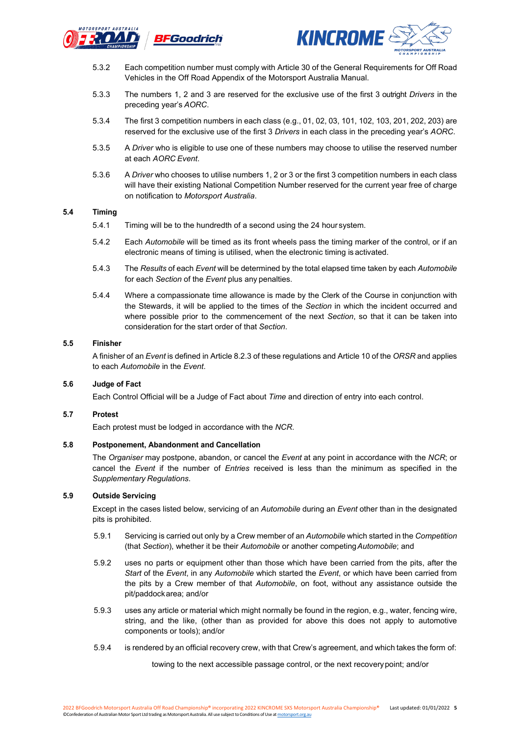



- 5.3.2 Each competition number must comply with Article 30 of the General Requirements for Off Road Vehicles in the Off Road Appendix of the Motorsport Australia Manual.
- 5.3.3 The numbers 1, 2 and 3 are reserved for the exclusive use of the first 3 outright *Drivers* in the preceding year's *AORC*.
- 5.3.4 The first 3 competition numbers in each class (e.g., 01, 02, 03, 101, 102, 103, 201, 202, 203) are reserved for the exclusive use of the first 3 *Drivers* in each class in the preceding year's *AORC*.
- 5.3.5 A *Driver* who is eligible to use one of these numbers may choose to utilise the reserved number at each *AORC Event*.
- 5.3.6 A *Driver* who chooses to utilise numbers 1, 2 or 3 or the first 3 competition numbers in each class will have their existing National Competition Number reserved for the current year free of charge on notification to *Motorsport Australia*.

#### **5.4 Timing**

- 5.4.1 Timing will be to the hundredth of a second using the 24 hour system.
- 5.4.2 Each *Automobile* will be timed as its front wheels pass the timing marker of the control, or if an electronic means of timing is utilised, when the electronic timing is activated.
- 5.4.3 The *Results* of each *Event* will be determined by the total elapsed time taken by each *Automobile* for each *Section* of the *Event* plus any penalties.
- 5.4.4 Where a compassionate time allowance is made by the Clerk of the Course in conjunction with the Stewards, it will be applied to the times of the *Section* in which the incident occurred and where possible prior to the commencement of the next *Section*, so that it can be taken into consideration for the start order of that *Section*.

#### **5.5 Finisher**

A finisher of an *Event* is defined in Article 8.2.3 of these regulations and Article 10 of the *ORSR* and applies to each *Automobile* in the *Event*.

#### **5.6 Judge of Fact**

Each Control Official will be a Judge of Fact about *Time* and direction of entry into each control.

#### **5.7 Protest**

Each protest must be lodged in accordance with the *NCR*.

#### **5.8 Postponement, Abandonment and Cancellation**

The *Organiser* may postpone, abandon, or cancel the *Event* at any point in accordance with the *NCR*; or cancel the *Event* if the number of *Entries* received is less than the minimum as specified in the *Supplementary Regulations*.

#### **5.9 Outside Servicing**

Except in the cases listed below, servicing of an *Automobile* during an *Event* other than in the designated pits is prohibited.

- 5.9.1 Servicing is carried out only by a Crew member of an *Automobile* which started in the *Competition* (that *Section*), whether it be their *Automobile* or another competing*Automobile*; and
- 5.9.2 uses no parts or equipment other than those which have been carried from the pits, after the *Start* of the *Event*, in any *Automobile* which started the *Event*, or which have been carried from the pits by a Crew member of that *Automobile*, on foot, without any assistance outside the pit/paddockarea; and/or
- 5.9.3 uses any article or material which might normally be found in the region, e.g., water, fencing wire, string, and the like, (other than as provided for above this does not apply to automotive components or tools); and/or
- 5.9.4 is rendered by an official recovery crew, with that Crew's agreement, and which takes the form of:

towing to the next accessible passage control, or the next recoverypoint; and/or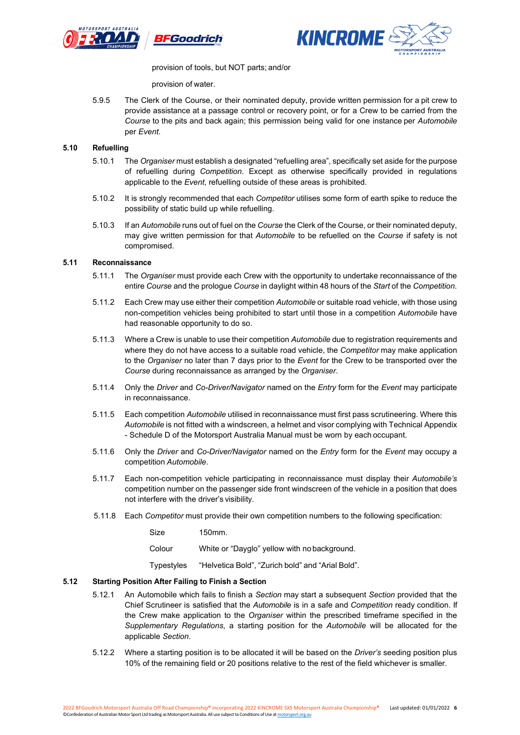



provision of tools, but NOT parts; and/or

provision of water.

5.9.5 The Clerk of the Course, or their nominated deputy, provide written permission for a pit crew to provide assistance at a passage control or recovery point, or for a Crew to be carried from the *Course* to the pits and back again; this permission being valid for one instance per *Automobile* per *Event*.

#### **5.10 Refuelling**

- 5.10.1 The *Organiser* must establish a designated "refuelling area", specifically set aside for the purpose of refuelling during *Competition*. Except as otherwise specifically provided in regulations applicable to the *Event*, refuelling outside of these areas is prohibited.
- 5.10.2 It is strongly recommended that each *Competitor* utilises some form of earth spike to reduce the possibility of static build up while refuelling.
- 5.10.3 If an *Automobile* runs out of fuel on the *Course* the Clerk of the Course, or their nominated deputy, may give written permission for that *Automobile* to be refuelled on the *Course* if safety is not compromised.

#### **5.11 Reconnaissance**

- 5.11.1 The *Organiser* must provide each Crew with the opportunity to undertake reconnaissance of the entire *Course* and the prologue *Course* in daylight within 48 hours of the *Start* of the *Competition*.
- 5.11.2 Each Crew may use either their competition *Automobile* or suitable road vehicle, with those using non-competition vehicles being prohibited to start until those in a competition *Automobile* have had reasonable opportunity to do so.
- 5.11.3 Where a Crew is unable to use their competition *Automobile* due to registration requirements and where they do not have access to a suitable road vehicle, the *Competitor* may make application to the *Organiser* no later than 7 days prior to the *Event* for the Crew to be transported over the *Course* during reconnaissance as arranged by the *Organiser*.
- 5.11.4 Only the *Driver* and *Co-Driver/Navigator* named on the *Entry* form for the *Event* may participate in reconnaissance.
- 5.11.5 Each competition *Automobile* utilised in reconnaissance must first pass scrutineering. Where this *Automobile* is not fitted with a windscreen, a helmet and visor complying with Technical Appendix - Schedule D of the Motorsport Australia Manual must be worn by each occupant.
- 5.11.6 Only the *Driver* and *Co-Driver/Navigator* named on the *Entry* form for the *Event* may occupy a competition *Automobile*.
- 5.11.7 Each non-competition vehicle participating in reconnaissance must display their *Automobile's* competition number on the passenger side front windscreen of the vehicle in a position that does not interfere with the driver's visibility.
- 5.11.8 Each *Competitor* must provide their own competition numbers to the following specification:

| Size | 150mm. |  |
|------|--------|--|
|      |        |  |

Colour White or "Dayglo" yellow with nobackground.

Typestyles "Helvetica Bold", "Zurich bold" and "Arial Bold".

#### **5.12 Starting Position After Failing to Finish a Section**

- 5.12.1 An Automobile which fails to finish a *Section* may start a subsequent *Section* provided that the Chief Scrutineer is satisfied that the *Automobile* is in a safe and *Competition* ready condition. If the Crew make application to the *Organiser* within the prescribed timeframe specified in the *Supplementary Regulations*, a starting position for the *Automobile* will be allocated for the applicable *Section*.
- 5.12.2 Where a starting position is to be allocated it will be based on the *Driver's* seeding position plus 10% of the remaining field or 20 positions relative to the rest of the field whichever is smaller.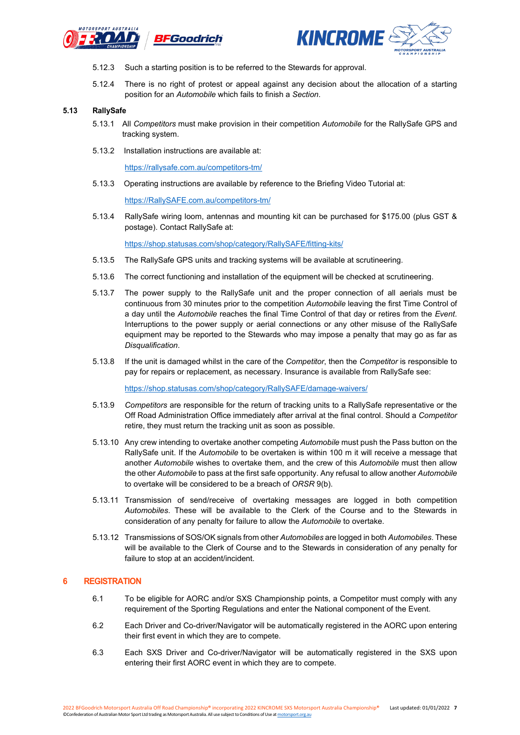



- 5.12.3 Such a starting position is to be referred to the Stewards for approval.
- 5.12.4 There is no right of protest or appeal against any decision about the allocation of a starting position for an *Automobile* which fails to finish a *Section*.

#### **5.13 RallySafe**

- 5.13.1 All *Competitors* must make provision in their competition *Automobile* for the RallySafe GPS and tracking system.
- 5.13.2 Installation instructions are available at:

<https://rallysafe.com.au/competitors-tm/>

5.13.3 Operating instructions are available by reference to the Briefing Video Tutorial at:

[https://RallySAFE.com.au/competitors-tm/](https://rallysafe.com.au/competitors-tm/)

5.13.4 RallySafe wiring loom, antennas and mounting kit can be purchased for \$175.00 (plus GST & postage). Contact RallySafe at:

<https://shop.statusas.com/shop/category/RallySAFE/fitting-kits/>

- 5.13.5 The RallySafe GPS units and tracking systems will be available at scrutineering.
- 5.13.6 The correct functioning and installation of the equipment will be checked at scrutineering.
- 5.13.7 The power supply to the RallySafe unit and the proper connection of all aerials must be continuous from 30 minutes prior to the competition *Automobile* leaving the first Time Control of a day until the *Automobile* reaches the final Time Control of that day or retires from the *Event*. Interruptions to the power supply or aerial connections or any other misuse of the RallySafe equipment may be reported to the Stewards who may impose a penalty that may go as far as *Disqualification*.
- 5.13.8 If the unit is damaged whilst in the care of the *Competitor*, then the *Competitor* is responsible to pay for repairs or replacement, as necessary. Insurance is available from RallySafe see:

<https://shop.statusas.com/shop/category/RallySAFE/damage-waivers/>

- 5.13.9 *Competitors* are responsible for the return of tracking units to a RallySafe representative or the Off Road Administration Office immediately after arrival at the final control. Should a *Competitor* retire, they must return the tracking unit as soon as possible.
- 5.13.10 Any crew intending to overtake another competing *Automobile* must push the Pass button on the RallySafe unit. If the *Automobile* to be overtaken is within 100 m it will receive a message that another *Automobile* wishes to overtake them, and the crew of this *Automobile* must then allow the other *Automobile* to pass at the first safe opportunity. Any refusal to allow another *Automobile* to overtake will be considered to be a breach of *ORSR* 9(b).
- 5.13.11 Transmission of send/receive of overtaking messages are logged in both competition *Automobiles*. These will be available to the Clerk of the Course and to the Stewards in consideration of any penalty for failure to allow the *Automobile* to overtake.
- 5.13.12 Transmissions of SOS/OK signals from other *Automobiles* are logged in both *Automobiles*. These will be available to the Clerk of Course and to the Stewards in consideration of any penalty for failure to stop at an accident/incident.

#### **6 REGISTRATION**

- 6.1 To be eligible for AORC and/or SXS Championship points, a Competitor must comply with any requirement of the Sporting Regulations and enter the National component of the Event.
- 6.2 Each Driver and Co-driver/Navigator will be automatically registered in the AORC upon entering their first event in which they are to compete.
- 6.3 Each SXS Driver and Co-driver/Navigator will be automatically registered in the SXS upon entering their first AORC event in which they are to compete.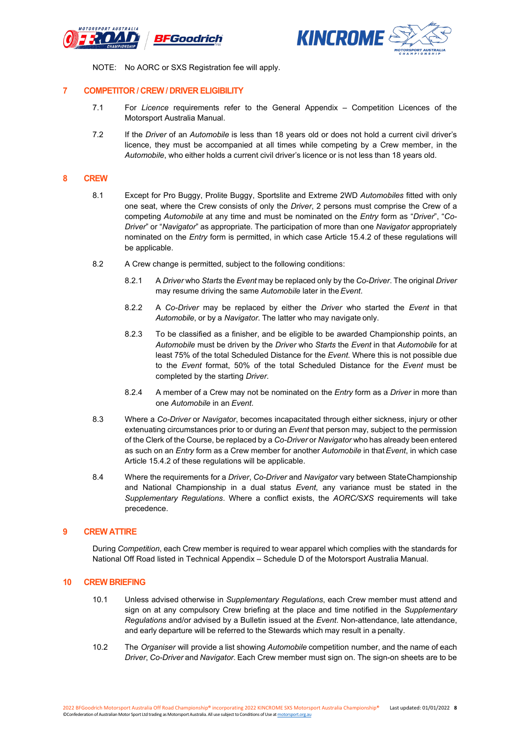



NOTE: No AORC or SXS Registration fee will apply.

#### **7 COMPETITOR / CREW / DRIVER ELIGIBILITY**

- 7.1 For *Licence* requirements refer to the General Appendix Competition Licences of the Motorsport Australia Manual.
- 7.2 If the *Driver* of an *Automobile* is less than 18 years old or does not hold a current civil driver's licence, they must be accompanied at all times while competing by a Crew member, in the *Automobile*, who either holds a current civil driver's licence or is not less than 18 years old.

#### **8 CREW**

- 8.1 Except for Pro Buggy, Prolite Buggy, Sportslite and Extreme 2WD *Automobiles* fitted with only one seat, where the Crew consists of only the *Driver*, 2 persons must comprise the Crew of a competing *Automobile* at any time and must be nominated on the *Entry* form as "*Driver*", "*Co-Driver*" or "*Navigator*" as appropriate. The participation of more than one *Navigator* appropriately nominated on the *Entry* form is permitted, in which case Article 15.4.2 of these regulations will be applicable.
- 8.2 A Crew change is permitted, subject to the following conditions:
	- 8.2.1 A *Driver* who *Starts* the *Event* may be replaced only by the *Co-Driver*. The original *Driver* may resume driving the same *Automobile* later in the*Event*.
	- 8.2.2 A *Co-Driver* may be replaced by either the *Driver* who started the *Event* in that *Automobile*, or by a *Navigator*. The latter who may navigate only.
	- 8.2.3 To be classified as a finisher, and be eligible to be awarded Championship points, an *Automobile* must be driven by the *Driver* who *Starts* the *Event* in that *Automobile* for at least 75% of the total Scheduled Distance for the *Event*. Where this is not possible due to the *Event* format, 50% of the total Scheduled Distance for the *Event* must be completed by the starting *Driver*.
	- 8.2.4 A member of a Crew may not be nominated on the *Entry* form as a *Driver* in more than one *Automobile* in an *Event*.
- 8.3 Where a *Co-Driver* or *Navigator*, becomes incapacitated through either sickness, injury or other extenuating circumstances prior to or during an *Event* that person may, subject to the permission of the Clerk of the Course, be replaced by a *Co-Driver* or *Navigator* who has already been entered as such on an *Entry* form as a Crew member for another *Automobile* in that*Event*, in which case Article 15.4.2 of these regulations will be applicable.
- 8.4 Where the requirements for a *Driver*, *Co-Driver* and *Navigator* vary between StateChampionship and National Championship in a dual status *Event*, any variance must be stated in the *Supplementary Regulations*. Where a conflict exists, the *AORC/SXS* requirements will take precedence.

#### **9 CREW ATTIRE**

During *Competition*, each Crew member is required to wear apparel which complies with the standards for National Off Road listed in Technical Appendix – Schedule D of the Motorsport Australia Manual.

#### **10 CREW BRIEFING**

- 10.1 Unless advised otherwise in *Supplementary Regulations*, each Crew member must attend and sign on at any compulsory Crew briefing at the place and time notified in the *Supplementary Regulations* and/or advised by a Bulletin issued at the *Event*. Non-attendance, late attendance, and early departure will be referred to the Stewards which may result in a penalty.
- 10.2 The *Organiser* will provide a list showing *Automobile* competition number, and the name of each *Driver*, *Co-Driver* and *Navigator*. Each Crew member must sign on. The sign-on sheets are to be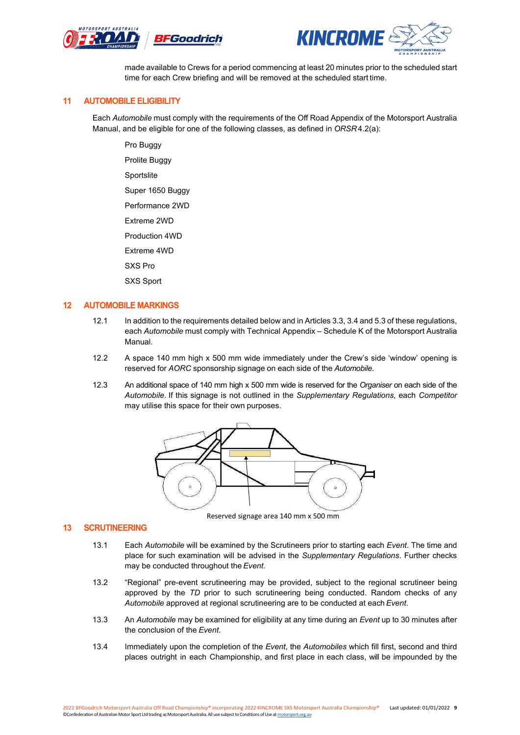



made available to Crews for a period commencing at least 20 minutes prior to the scheduled start time for each Crew briefing and will be removed at the scheduled start time.

#### **11 AUTOMOBILE ELIGIBILITY**

Each *Automobile* must comply with the requirements of the Off Road Appendix of the Motorsport Australia Manual, and be eligible for one of the following classes, as defined in *ORSR* 4.2(a):

Pro Buggy Prolite Buggy Sportslite Super 1650 Buggy Performance 2WD Extreme 2WD Production 4WD

Extreme 4WD

SXS Pro

SXS Sport

#### **12 AUTOMOBILE MARKINGS**

- 12.1 In addition to the requirements detailed below and in Articles 3.3, 3.4 and 5.3 of these regulations, each *Automobile* must comply with Technical Appendix – Schedule K of the Motorsport Australia Manual.
- 12.2 A space 140 mm high x 500 mm wide immediately under the Crew's side 'window' opening is reserved for *AORC* sponsorship signage on each side of the *Automobile*.
- 12.3 An additional space of 140 mm high x 500 mm wide is reserved for the *Organiser* on each side of the *Automobile*. If this signage is not outlined in the *Supplementary Regulations*, each *Competitor* may utilise this space for their own purposes.



Reserved signage area 140 mm x 500 mm

#### **13 SCRUTINEERING**

- 13.1 Each *Automobile* will be examined by the Scrutineers prior to starting each *Event*. The time and place for such examination will be advised in the *Supplementary Regulations*. Further checks may be conducted throughout the *Event*.
- 13.2 "Regional" pre-event scrutineering may be provided, subject to the regional scrutineer being approved by the *TD* prior to such scrutineering being conducted. Random checks of any *Automobile* approved at regional scrutineering are to be conducted at each*Event*.
- 13.3 An *Automobile* may be examined for eligibility at any time during an *Event* up to 30 minutes after the conclusion of the *Event*.
- 13.4 Immediately upon the completion of the *Event*, the *Automobiles* which fill first, second and third places outright in each Championship, and first place in each class, will be impounded by the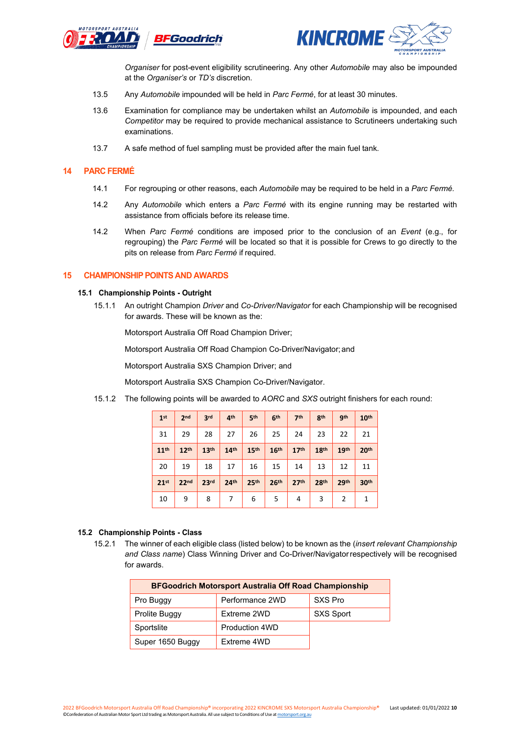



*Organiser* for post-event eligibility scrutineering. Any other *Automobile* may also be impounded at the *Organiser's* or *TD's* discretion.

- 13.5 Any *Automobile* impounded will be held in *Parc Fermé*, for at least 30 minutes.
- 13.6 Examination for compliance may be undertaken whilst an *Automobile* is impounded, and each *Competitor* may be required to provide mechanical assistance to Scrutineers undertaking such examinations.
- 13.7 A safe method of fuel sampling must be provided after the main fuel tank.

#### **14 PARC FERMÉ**

- 14.1 For regrouping or other reasons, each *Automobile* may be required to be held in a *Parc Fermé.*
- 14.2 Any *Automobile* which enters a *Parc Fermé* with its engine running may be restarted with assistance from officials before its release time.
- 14.2 When *Parc Fermé* conditions are imposed prior to the conclusion of an *Event* (e.g., for regrouping) the *Parc Fermé* will be located so that it is possible for Crews to go directly to the pits on release from *Parc Fermé* if required.

#### **15 CHAMPIONSHIP POINTS AND AWARDS**

#### **15.1 Championship Points - Outright**

15.1.1 An outright Champion *Driver* and *Co-Driver/Navigator* for each Championship will be recognised for awards. These will be known as the:

Motorsport Australia Off Road Champion Driver;

Motorsport Australia Off Road Champion Co-Driver/Navigator;and

Motorsport Australia SXS Champion Driver; and

Motorsport Australia SXS Champion Co-Driver/Navigator.

15.1.2 The following points will be awarded to *AORC* and *SXS* outright finishers for each round:

| 1 <sup>st</sup>  | 2 <sub>nd</sub>  | 3 <sup>rd</sup>  | 4 <sup>th</sup>  | 5 <sup>th</sup>  | 6 <sup>th</sup>  | 7 <sup>th</sup>  | 8 <sup>th</sup>  | gth              | 10 <sup>th</sup> |
|------------------|------------------|------------------|------------------|------------------|------------------|------------------|------------------|------------------|------------------|
| 31               | 29               | 28               | 27               | 26               | 25               | 24               | 23               | 22               | 21               |
| 11 <sup>th</sup> | 12 <sup>th</sup> | 13 <sup>th</sup> | 14 <sup>th</sup> | 15 <sup>th</sup> | 16 <sup>th</sup> | 17 <sup>th</sup> | 18 <sup>th</sup> | 19 <sup>th</sup> | 20 <sup>th</sup> |
| 20               | 19               | 18               | 17               | 16               | 15               | 14               | 13               | 12               | 11               |
| 21 <sup>st</sup> | 22 <sub>nd</sub> | 23 <sup>rd</sup> | 24 <sup>th</sup> | 25 <sup>th</sup> | 26 <sup>th</sup> | 27 <sup>th</sup> | 28th             | 29 <sup>th</sup> | 30 <sup>th</sup> |
| 10               | 9                | 8                | 7                | 6                | 5                | 4                | 3                | 2                | 1                |

#### **15.2 Championship Points - Class**

15.2.1 The winner of each eligible class (listed below) to be known as the (*insert relevant Championship and Class name*) Class Winning Driver and Co-Driver/Navigatorrespectively will be recognised for awards.

| <b>BFGoodrich Motorsport Australia Off Road Championship</b> |                       |                  |  |  |  |  |
|--------------------------------------------------------------|-----------------------|------------------|--|--|--|--|
| Pro Buggy                                                    | Performance 2WD       | SXS Pro          |  |  |  |  |
| Prolite Buggy                                                | Extreme 2WD           | <b>SXS Sport</b> |  |  |  |  |
| Sportslite                                                   | <b>Production 4WD</b> |                  |  |  |  |  |
| Super 1650 Buggy                                             | Extreme 4WD           |                  |  |  |  |  |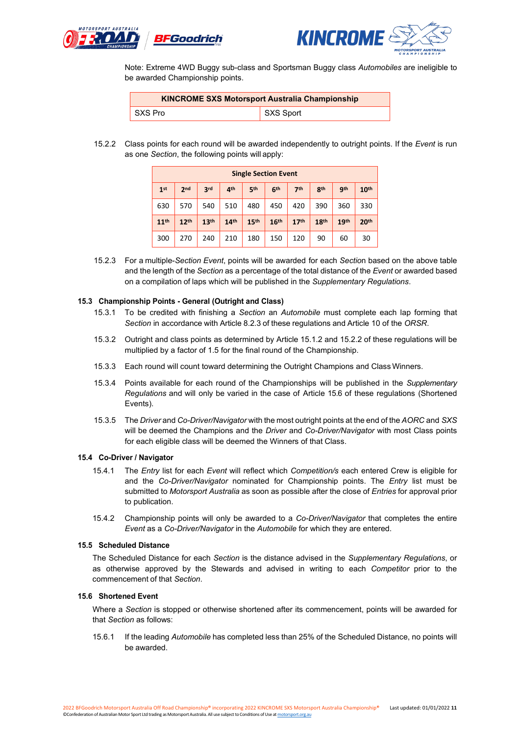



Note: Extreme 4WD Buggy sub-class and Sportsman Buggy class *Automobiles* are ineligible to be awarded Championship points.

| <b>KINCROME SXS Motorsport Australia Championship</b> |           |  |  |  |  |  |
|-------------------------------------------------------|-----------|--|--|--|--|--|
| SXS Pro                                               | SXS Sport |  |  |  |  |  |

15.2.2 Class points for each round will be awarded independently to outright points. If the *Event* is run as one *Section*, the following points will apply:

| <b>Single Section Event</b> |                  |                  |                  |                  |                  |                  |                  |                  |                  |
|-----------------------------|------------------|------------------|------------------|------------------|------------------|------------------|------------------|------------------|------------------|
| 1 <sup>st</sup>             | 2 <sub>nd</sub>  | 3rd              | 4 <sup>th</sup>  | 5th              | 6 <sup>th</sup>  | 7 <sup>th</sup>  | 8 <sup>th</sup>  | <b>gth</b>       | 10 <sup>th</sup> |
| 630                         | 570              | 540              | 510              | 480              | 450              | 420              | 390              | 360              | 330              |
| 11 <sup>th</sup>            | 12 <sup>th</sup> | 13 <sup>th</sup> | 14 <sup>th</sup> | 15 <sup>th</sup> | 16 <sup>th</sup> | 17 <sup>th</sup> | 18 <sup>th</sup> | 19 <sup>th</sup> | 20 <sup>th</sup> |
| 300                         | 270              | 240              | 210              | 180              | 150              | 120              | 90               | 60               | 30               |

15.2.3 For a multiple-*Section Event*, points will be awarded for each *Sectio*n based on the above table and the length of the *Section* as a percentage of the total distance of the *Event* or awarded based on a compilation of laps which will be published in the *Supplementary Regulations*.

#### **15.3 Championship Points - General (Outright and Class)**

- 15.3.1 To be credited with finishing a *Section* an *Automobile* must complete each lap forming that *Section* in accordance with Article 8.2.3 of these regulations and Article 10 of the *ORSR*.
- 15.3.2 Outright and class points as determined by Article 15.1.2 and 15.2.2 of these regulations will be multiplied by a factor of 1.5 for the final round of the Championship.
- 15.3.3 Each round will count toward determining the Outright Champions and Class Winners.
- 15.3.4 Points available for each round of the Championships will be published in the *Supplementary Regulations* and will only be varied in the case of Article 15.6 of these regulations (Shortened Events).
- 15.3.5 The *Driver* and *Co-Driver/Navigator* with the most outright points at the end of the *AORC* and *SXS* will be deemed the Champions and the *Driver* and *Co-Driver/Navigator* with most Class points for each eligible class will be deemed the Winners of that Class.

#### **15.4 Co-Driver / Navigator**

- 15.4.1 The *Entry* list for each *Event* will reflect which *Competition/s* each entered Crew is eligible for and the *Co-Driver/Navigator* nominated for Championship points. The *Entry* list must be submitted to *Motorsport Australia* as soon as possible after the close of *Entries* for approval prior to publication.
- 15.4.2 Championship points will only be awarded to a *Co-Driver/Navigator* that completes the entire *Event* as a *Co-Driver/Navigator* in the *Automobile* for which they are entered.

#### **15.5 Scheduled Distance**

The Scheduled Distance for each *Section* is the distance advised in the *Supplementary Regulations*, or as otherwise approved by the Stewards and advised in writing to each *Competitor* prior to the commencement of that *Section*.

#### **15.6 Shortened Event**

Where a *Section* is stopped or otherwise shortened after its commencement, points will be awarded for that *Section* as follows:

15.6.1 If the leading *Automobile* has completed less than 25% of the Scheduled Distance, no points will be awarded.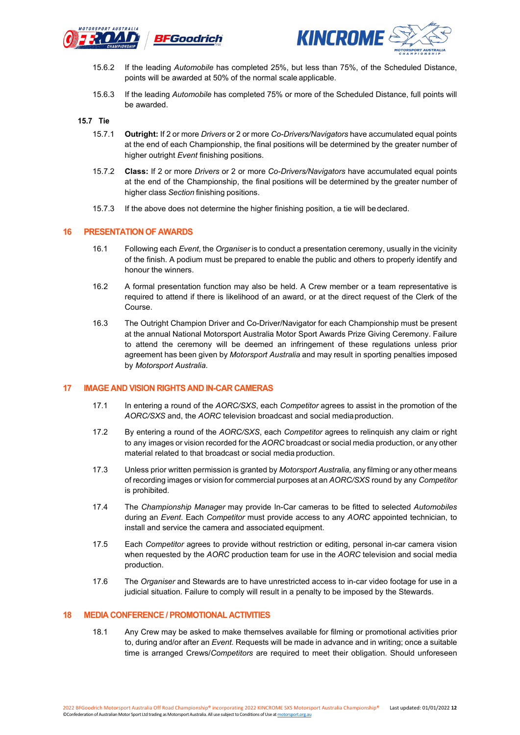



- 15.6.2 If the leading *Automobile* has completed 25%, but less than 75%, of the Scheduled Distance, points will be awarded at 50% of the normal scale applicable.
- 15.6.3 If the leading *Automobile* has completed 75% or more of the Scheduled Distance, full points will be awarded.

#### **15.7 Tie**

- 15.7.1 **Outright:** If 2 or more *Drivers* or 2 or more *Co-Drivers/Navigators* have accumulated equal points at the end of each Championship, the final positions will be determined by the greater number of higher outright *Event* finishing positions.
- 15.7.2 **Class:** If 2 or more *Drivers* or 2 or more *Co-Drivers/Navigators* have accumulated equal points at the end of the Championship, the final positions will be determined by the greater number of higher class *Section* finishing positions.
- 15.7.3 If the above does not determine the higher finishing position, a tie will bedeclared.

#### **16 PRESENTATION OF AWARDS**

- 16.1 Following each *Event*, the *Organiser* is to conduct a presentation ceremony, usually in the vicinity of the finish. A podium must be prepared to enable the public and others to properly identify and honour the winners.
- 16.2 A formal presentation function may also be held. A Crew member or a team representative is required to attend if there is likelihood of an award, or at the direct request of the Clerk of the Course.
- 16.3 The Outright Champion Driver and Co-Driver/Navigator for each Championship must be present at the annual National Motorsport Australia Motor Sport Awards Prize Giving Ceremony. Failure to attend the ceremony will be deemed an infringement of these regulations unless prior agreement has been given by *Motorsport Australia* and may result in sporting penalties imposed by *Motorsport Australia*.

#### **17 IMAGE AND VISION RIGHTS AND IN-CAR CAMERAS**

- 17.1 In entering a round of the *AORC/SXS*, each *Competitor* agrees to assist in the promotion of the *AORC/SXS* and, the *AORC* television broadcast and social mediaproduction.
- 17.2 By entering a round of the *AORC/SXS*, each *Competitor* agrees to relinquish any claim or right to any images or vision recorded for the *AORC* broadcast or social media production, or any other material related to that broadcast or social media production.
- 17.3 Unless prior written permission is granted by *Motorsport Australia,* any filming or any other means of recording images or vision for commercial purposes at an *AORC/SXS* round by any *Competitor* is prohibited.
- 17.4 The *Championship Manager* may provide In-Car cameras to be fitted to selected *Automobiles* during an *Event*. Each *Competitor* must provide access to any *AORC* appointed technician, to install and service the camera and associated equipment.
- 17.5 Each *Competitor* agrees to provide without restriction or editing, personal in-car camera vision when requested by the *AORC* production team for use in the *AORC* television and social media production.
- 17.6 The *Organiser* and Stewards are to have unrestricted access to in-car video footage for use in a judicial situation. Failure to comply will result in a penalty to be imposed by the Stewards.

#### **18 MEDIA CONFERENCE / PROMOTIONAL ACTIVITIES**

18.1 Any Crew may be asked to make themselves available for filming or promotional activities prior to, during and/or after an *Event*. Requests will be made in advance and in writing; once a suitable time is arranged Crews/*Competitors* are required to meet their obligation. Should unforeseen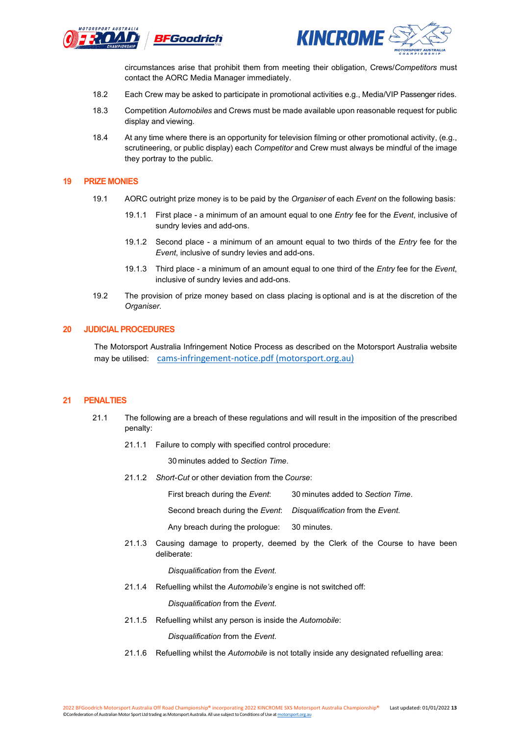



circumstances arise that prohibit them from meeting their obligation, Crews/*Competitors* must contact the AORC Media Manager immediately.

- 18.2 Each Crew may be asked to participate in promotional activities e.g., Media/VIP Passenger rides.
- 18.3 Competition *Automobiles* and Crews must be made available upon reasonable request for public display and viewing.
- 18.4 At any time where there is an opportunity for television filming or other promotional activity, (e.g., scrutineering, or public display) each *Competitor* and Crew must always be mindful of the image they portray to the public.

#### **19 PRIZE MONIES**

- 19.1 AORC outright prize money is to be paid by the *Organiser* of each *Event* on the following basis:
	- 19.1.1 First place a minimum of an amount equal to one *Entry* fee for the *Event*, inclusive of sundry levies and add-ons.
	- 19.1.2 Second place a minimum of an amount equal to two thirds of the *Entry* fee for the *Event*, inclusive of sundry levies and add-ons.
	- 19.1.3 Third place a minimum of an amount equal to one third of the *Entry* fee for the *Event*, inclusive of sundry levies and add-ons.
- 19.2 The provision of prize money based on class placing is optional and is at the discretion of the *Organiser*.

#### **20 JUDICIAL PROCEDURES**

The Motorsport Australia Infringement Notice Process as described on the Motorsport Australia website may be utilised: [cams-infringement-notice.pdf \(motorsport.org.au\)](https://motorsport.org.au/docs/default-source/permits/judicial/cams-infringement-notice.pdf?sfvrsn=f384d756_22)

#### **21 PENALTIES**

- 21.1 The following are a breach of these regulations and will result in the imposition of the prescribed penalty:
	- 21.1.1 Failure to comply with specified control procedure:

30 minutes added to *Section Time*.

21.1.2 *Short-Cut* or other deviation from the *Course*:

First breach during the *Event*: 30 minutes added to *Section Time*.

Second breach during the *Event*: *Disqualification* from the *Event*.

Any breach during the prologue: 30 minutes.

21.1.3 Causing damage to property, deemed by the Clerk of the Course to have been deliberate:

*Disqualification* from the *Event*.

21.1.4 Refuelling whilst the *Automobile's* engine is not switched off:

*Disqualification* from the *Event*.

21.1.5 Refuelling whilst any person is inside the *Automobile*:

*Disqualification* from the *Event*.

21.1.6 Refuelling whilst the *Automobile* is not totally inside any designated refuelling area: